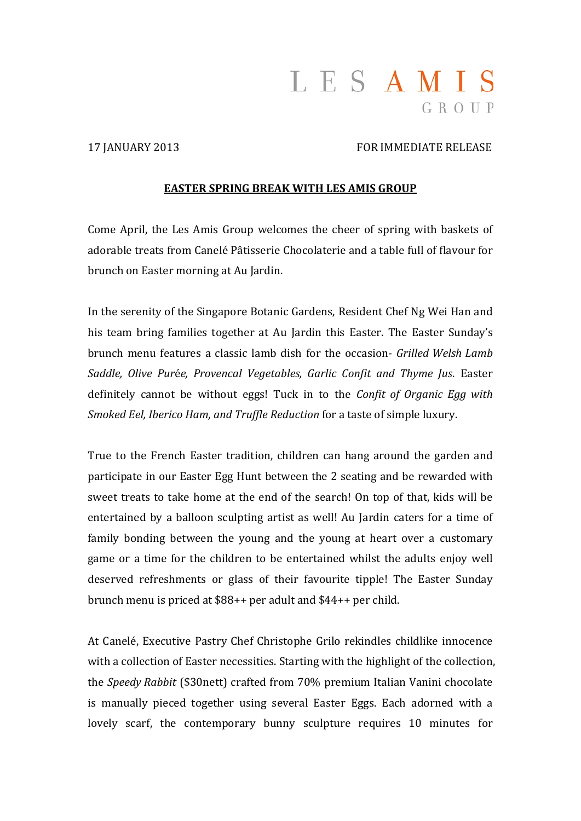# LESAMIS  $G R O U P$

### 17 JANUARY 2013 FOR IMMEDIATE RELEASE

#### **EASTER SPRING BREAK WITH LES AMIS GROUP**

Come April, the Les Amis Group welcomes the cheer of spring with baskets of adorable treats from Canelé Pâtisserie Chocolaterie and a table full of flavour for brunch on Easter morning at Au Jardin.

In the serenity of the Singapore Botanic Gardens, Resident Chef Ng Wei Han and his team bring families together at Au Jardin this Easter. The Easter Sunday's brunch menu features a classic lamb dish for the occasion‐ *Grilled Welsh Lamb Saddle, Olive Pur*é*e, Provencal Vegetables, Garlic Confit and Thyme Jus*. Easter definitely cannot be without eggs! Tuck in to the *Confit of Organic Egg with Smoked Eel, Iberico Ham, and Truffle Reduction* for a taste of simple luxury.

True to the French Easter tradition, children can hang around the garden and participate in our Easter Egg Hunt between the 2 seating and be rewarded with sweet treats to take home at the end of the search! On top of that, kids will be entertained by a balloon sculpting artist as well! Au Jardin caters for a time of family bonding between the young and the young at heart over a customary game or a time for the children to be entertained whilst the adults enjoy well deserved refreshments or glass of their favourite tipple! The Easter Sunday brunch menu is priced at  $$88++$  per adult and  $$44++$  per child.

At Canelé, Executive Pastry Chef Christophe Grilo rekindles childlike innocence with a collection of Easter necessities. Starting with the highlight of the collection, the *Speedy Rabbit* (\$30nett) crafted from 70% premium Italian Vanini chocolate is manually pieced together using several Easter Eggs. Each adorned with a lovely scarf, the contemporary bunny sculpture requires 10 minutes for